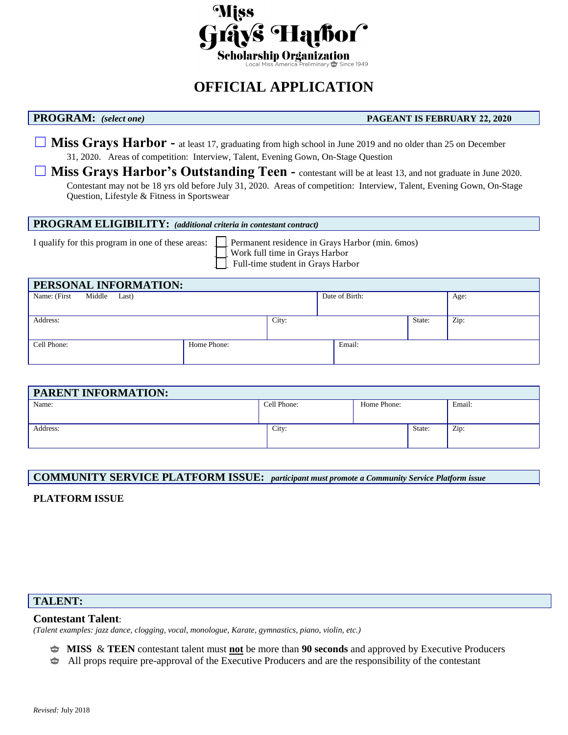

# **OFFICIAL APPLICATION**

#### **PROGRAM:** *(select one)* **PAGEANT IS FEBRUARY 22, 2020**

**□ Miss Grays Harbor -** at least 17, graduating from high school in June 2019 and no older than 25 on December 31, 2020. Areas of competition: Interview, Talent, Evening Gown, On-Stage Question

**□ Miss Grays Harbor's Outstanding Teen -** contestant will be at least 13, and not graduate in June 2020. Contestant may not be 18 yrs old before July 31, 2020. Areas of competition: Interview, Talent, Evening Gown, On-Stage Question, Lifestyle & Fitness in Sportswear

#### **PROGRAM ELIGIBILITY:** *(additional criteria in contestant contract)*

I qualify for this program in one of these areas:  $\Box$  Permanent residence in Grays Harbor (min. 6mos) \_\_\_ Work full time in Grays Harbor Full-time student in Grays Harbor

| Date of Birth: | Age:           |
|----------------|----------------|
|                |                |
|                |                |
|                | Zip:<br>State: |
|                |                |
| Email:         |                |
|                |                |
|                |                |

| <b>PARENT INFORMATION:</b> |             |             |        |        |
|----------------------------|-------------|-------------|--------|--------|
| Name:                      | Cell Phone: | Home Phone: |        | Email: |
|                            |             |             |        |        |
| Address:                   | City:       |             | State: | Zip:   |
|                            |             |             |        |        |

### **COMMUNITY SERVICE PLATFORM ISSUE:** *participant must promote a Community Service Platform issue*

### **PLATFORM ISSUE**

### **TALENT:**

#### **Contestant Talent**:

*(Talent examples: jazz dance, clogging, vocal, monologue, Karate, gymnastics, piano, violin, etc.)*

- **MISS** & **TEEN** contestant talent must **not** be more than **90 seconds** and approved by Executive Producers
- Ŵ All props require pre-approval of the Executive Producers and are the responsibility of the contestant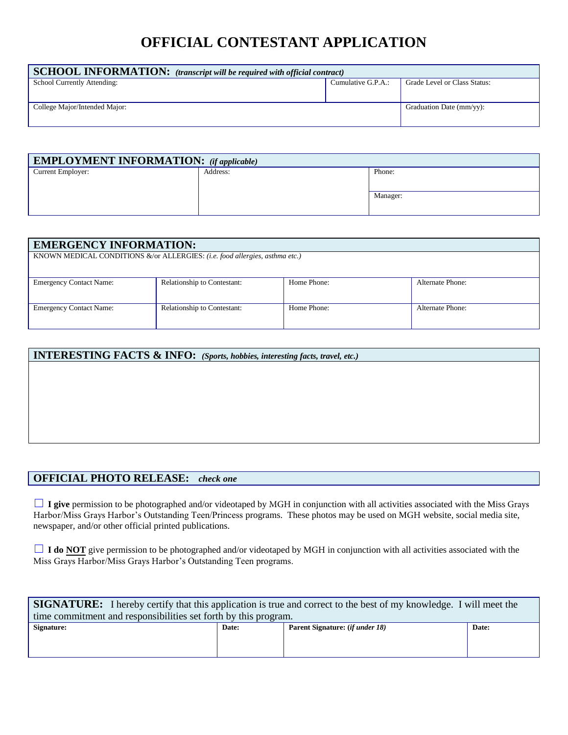# **OFFICIAL CONTESTANT APPLICATION**

| $\vert$ SCHOOL INFORMATION: (transcript will be required with official contract) |                    |                              |  |  |
|----------------------------------------------------------------------------------|--------------------|------------------------------|--|--|
| School Currently Attending:                                                      | Cumulative G.P.A.: | Grade Level or Class Status: |  |  |
| College Major/Intended Major:                                                    |                    | Graduation Date (mm/yy):     |  |  |

| <b>EMPLOYMENT INFORMATION:</b> (if applicable) |          |          |  |
|------------------------------------------------|----------|----------|--|
| Current Employer:                              | Address: | Phone:   |  |
|                                                |          |          |  |
|                                                |          | Manager: |  |
|                                                |          |          |  |

| <b>EMERGENCY INFORMATION:</b>                                               |                                    |             |                  |
|-----------------------------------------------------------------------------|------------------------------------|-------------|------------------|
| KNOWN MEDICAL CONDITIONS &/or ALLERGIES: (i.e. food allergies, asthma etc.) |                                    |             |                  |
|                                                                             |                                    |             |                  |
| <b>Emergency Contact Name:</b>                                              | <b>Relationship to Contestant:</b> | Home Phone: | Alternate Phone: |
| <b>Emergency Contact Name:</b>                                              | <b>Relationship to Contestant:</b> | Home Phone: | Alternate Phone: |

| <b>INTERESTING FACTS &amp; INFO:</b> (Sports, hobbies, interesting facts, travel, etc.) |  |  |
|-----------------------------------------------------------------------------------------|--|--|
|                                                                                         |  |  |
|                                                                                         |  |  |
|                                                                                         |  |  |
|                                                                                         |  |  |
|                                                                                         |  |  |
|                                                                                         |  |  |

# **OFFICIAL PHOTO RELEASE:** *check one*

□ **I give** permission to be photographed and/or videotaped by MGH in conjunction with all activities associated with the Miss Grays Harbor/Miss Grays Harbor's Outstanding Teen/Princess programs. These photos may be used on MGH website, social media site, newspaper, and/or other official printed publications.

**□ I do <u>NOT</u>** give permission to be photographed and/or videotaped by MGH in conjunction with all activities associated with the Miss Grays Harbor/Miss Grays Harbor's Outstanding Teen programs.

| <b>SIGNATURE:</b> I hereby certify that this application is true and correct to the best of my knowledge. I will meet the |                                        |       |  |  |
|---------------------------------------------------------------------------------------------------------------------------|----------------------------------------|-------|--|--|
| time commitment and responsibilities set forth by this program.                                                           |                                        |       |  |  |
| Date:                                                                                                                     | Parent Signature: <i>(if under 18)</i> | Date: |  |  |
|                                                                                                                           |                                        |       |  |  |
|                                                                                                                           |                                        |       |  |  |
|                                                                                                                           |                                        |       |  |  |